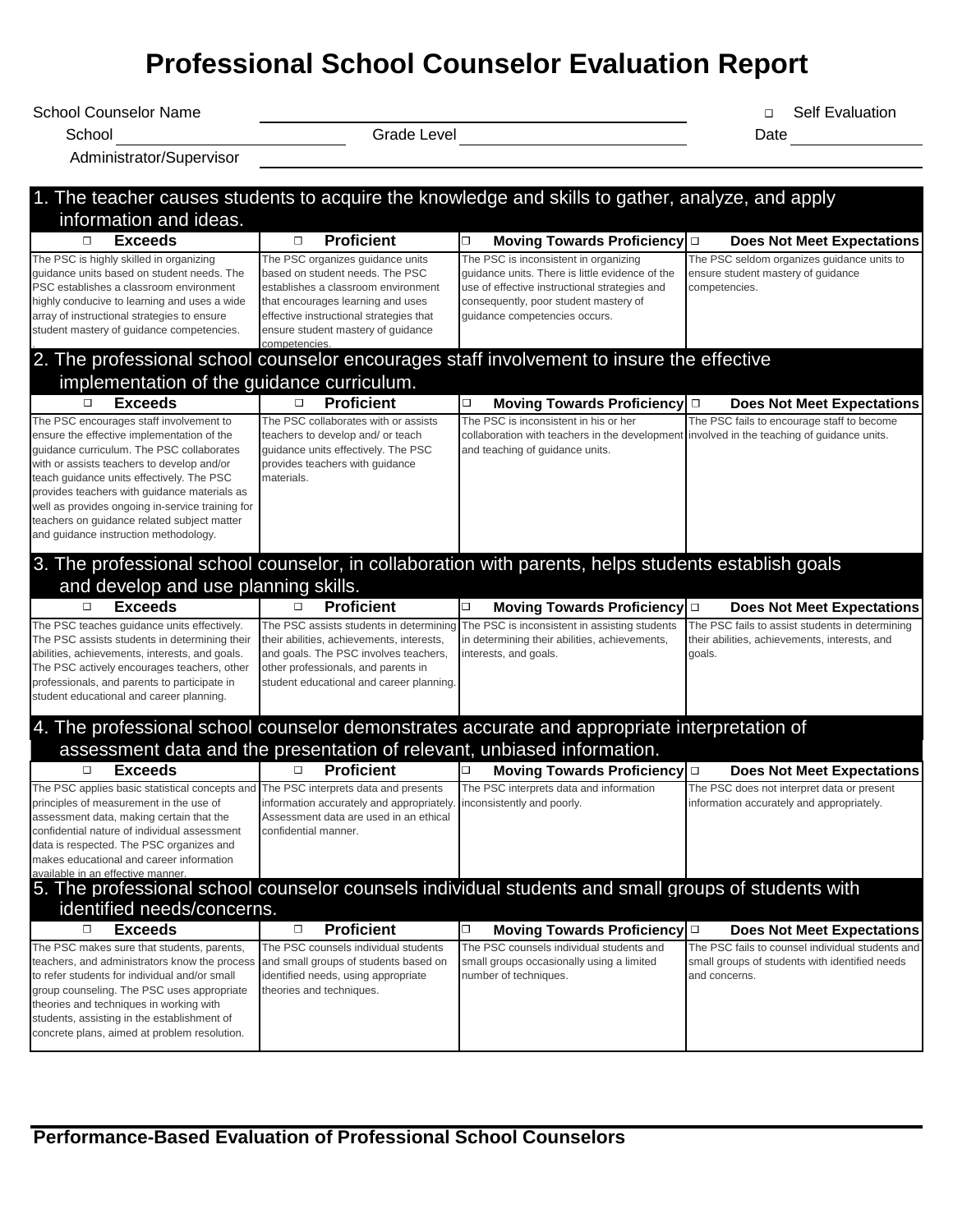# **Professional School Counselor Evaluation Report**

School Counselor Name Self Evaluation School Counselor Name

Administrator/Supervisor

School Grade Level Date

| 1. The teacher causes students to acquire the knowledge and skills to gather, analyze, and apply<br>information and ideas.                                                                                                                                                                                                                                                                                                |                                                                                                                                                                                                                                  |                                                                                                                                                                                                                     |                                                                                                                     |  |
|---------------------------------------------------------------------------------------------------------------------------------------------------------------------------------------------------------------------------------------------------------------------------------------------------------------------------------------------------------------------------------------------------------------------------|----------------------------------------------------------------------------------------------------------------------------------------------------------------------------------------------------------------------------------|---------------------------------------------------------------------------------------------------------------------------------------------------------------------------------------------------------------------|---------------------------------------------------------------------------------------------------------------------|--|
| <b>Exceeds</b><br>$\Box$                                                                                                                                                                                                                                                                                                                                                                                                  | <b>Proficient</b><br>$\Box$                                                                                                                                                                                                      | □<br><b>Moving Towards Proficiency</b>                                                                                                                                                                              | $\Box$<br><b>Does Not Meet Expectations</b>                                                                         |  |
| The PSC is highly skilled in organizing<br>guidance units based on student needs. The<br>PSC establishes a classroom environment<br>highly conducive to learning and uses a wide<br>array of instructional strategies to ensure<br>student mastery of guidance competencies.                                                                                                                                              | The PSC organizes guidance units<br>based on student needs. The PSC<br>establishes a classroom environment<br>that encourages learning and uses<br>effective instructional strategies that<br>ensure student mastery of guidance | The PSC is inconsistent in organizing<br>quidance units. There is little evidence of the<br>use of effective instructional strategies and<br>consequently, poor student mastery of<br>guidance competencies occurs. | The PSC seldom organizes guidance units to<br>ensure student mastery of guidance<br>competencies.                   |  |
| 2. The professional school counselor encourages staff involvement to insure the effective                                                                                                                                                                                                                                                                                                                                 | competencies                                                                                                                                                                                                                     |                                                                                                                                                                                                                     |                                                                                                                     |  |
| implementation of the guidance curriculum.                                                                                                                                                                                                                                                                                                                                                                                |                                                                                                                                                                                                                                  |                                                                                                                                                                                                                     |                                                                                                                     |  |
| <b>Exceeds</b><br>$\Box$                                                                                                                                                                                                                                                                                                                                                                                                  | <b>Proficient</b><br>$\Box$                                                                                                                                                                                                      | $\Box$<br>Moving Towards Proficiency $\square$                                                                                                                                                                      | <b>Does Not Meet Expectations</b>                                                                                   |  |
| The PSC encourages staff involvement to<br>ensure the effective implementation of the<br>guidance curriculum. The PSC collaborates<br>with or assists teachers to develop and/or<br>teach guidance units effectively. The PSC<br>provides teachers with guidance materials as<br>well as provides ongoing in-service training for<br>teachers on guidance related subject matter<br>and guidance instruction methodology. | The PSC collaborates with or assists<br>teachers to develop and/ or teach<br>guidance units effectively. The PSC<br>provides teachers with guidance<br>materials.                                                                | The PSC is inconsistent in his or her<br>collaboration with teachers in the development involved in the teaching of guidance units.<br>and teaching of guidance units.                                              | The PSC fails to encourage staff to become                                                                          |  |
| 3. The professional school counselor, in collaboration with parents, helps students establish goals<br>and develop and use planning skills.                                                                                                                                                                                                                                                                               |                                                                                                                                                                                                                                  |                                                                                                                                                                                                                     |                                                                                                                     |  |
| <b>Exceeds</b><br>$\Box$                                                                                                                                                                                                                                                                                                                                                                                                  | <b>Proficient</b><br>$\Box$                                                                                                                                                                                                      | □<br>Moving Towards Proficiency $\square$                                                                                                                                                                           | <b>Does Not Meet Expectations</b>                                                                                   |  |
| The PSC teaches guidance units effectively.<br>The PSC assists students in determining their<br>abilities, achievements, interests, and goals.<br>The PSC actively encourages teachers, other<br>professionals, and parents to participate in<br>student educational and career planning.                                                                                                                                 | The PSC assists students in determining<br>their abilities, achievements, interests,<br>and goals. The PSC involves teachers,<br>other professionals, and parents in<br>student educational and career planning                  | The PSC is inconsistent in assisting students<br>in determining their abilities, achievements,<br>interests, and goals.                                                                                             | The PSC fails to assist students in determining<br>their abilities, achievements, interests, and<br>goals.          |  |
| 4. The professional school counselor demonstrates accurate and appropriate interpretation of                                                                                                                                                                                                                                                                                                                              |                                                                                                                                                                                                                                  | assessment data and the presentation of relevant, unbiased information.                                                                                                                                             |                                                                                                                     |  |
| <b>Exceeds</b><br>□                                                                                                                                                                                                                                                                                                                                                                                                       | <b>Proficient</b><br>◻                                                                                                                                                                                                           | Moving Towards Proficiency $\square$                                                                                                                                                                                | <b>Does Not Meet Expectations</b>                                                                                   |  |
| The PSC applies basic statistical concepts and<br>principles of measurement in the use of<br>assessment data, making certain that the<br>confidential nature of individual assessment<br>data is respected. The PSC organizes and<br>makes educational and career information<br>available in an effective manner.                                                                                                        | The PSC interprets data and presents<br>information accurately and appropriately.<br>Assessment data are used in an ethical<br>confidential manner.                                                                              | The PSC interprets data and information<br>inconsistently and poorly.                                                                                                                                               | The PSC does not interpret data or present<br>information accurately and appropriately.                             |  |
| 5. The professional school counselor counsels individual students and small groups of students with<br>identified needs/concerns.                                                                                                                                                                                                                                                                                         |                                                                                                                                                                                                                                  |                                                                                                                                                                                                                     |                                                                                                                     |  |
| <b>Exceeds</b><br>$\Box$                                                                                                                                                                                                                                                                                                                                                                                                  | $\Box$<br><b>Proficient</b>                                                                                                                                                                                                      | О<br>Moving Towards Proficiency $\square$                                                                                                                                                                           | <b>Does Not Meet Expectations</b>                                                                                   |  |
| The PSC makes sure that students, parents,<br>teachers, and administrators know the process<br>to refer students for individual and/or small<br>group counseling. The PSC uses appropriate<br>theories and techniques in working with<br>students, assisting in the establishment of<br>concrete plans, aimed at problem resolution.                                                                                      | The PSC counsels individual students<br>and small groups of students based on<br>identified needs, using appropriate<br>theories and techniques.                                                                                 | The PSC counsels individual students and<br>small groups occasionally using a limited<br>number of techniques.                                                                                                      | The PSC fails to counsel individual students and<br>small groups of students with identified needs<br>and concerns. |  |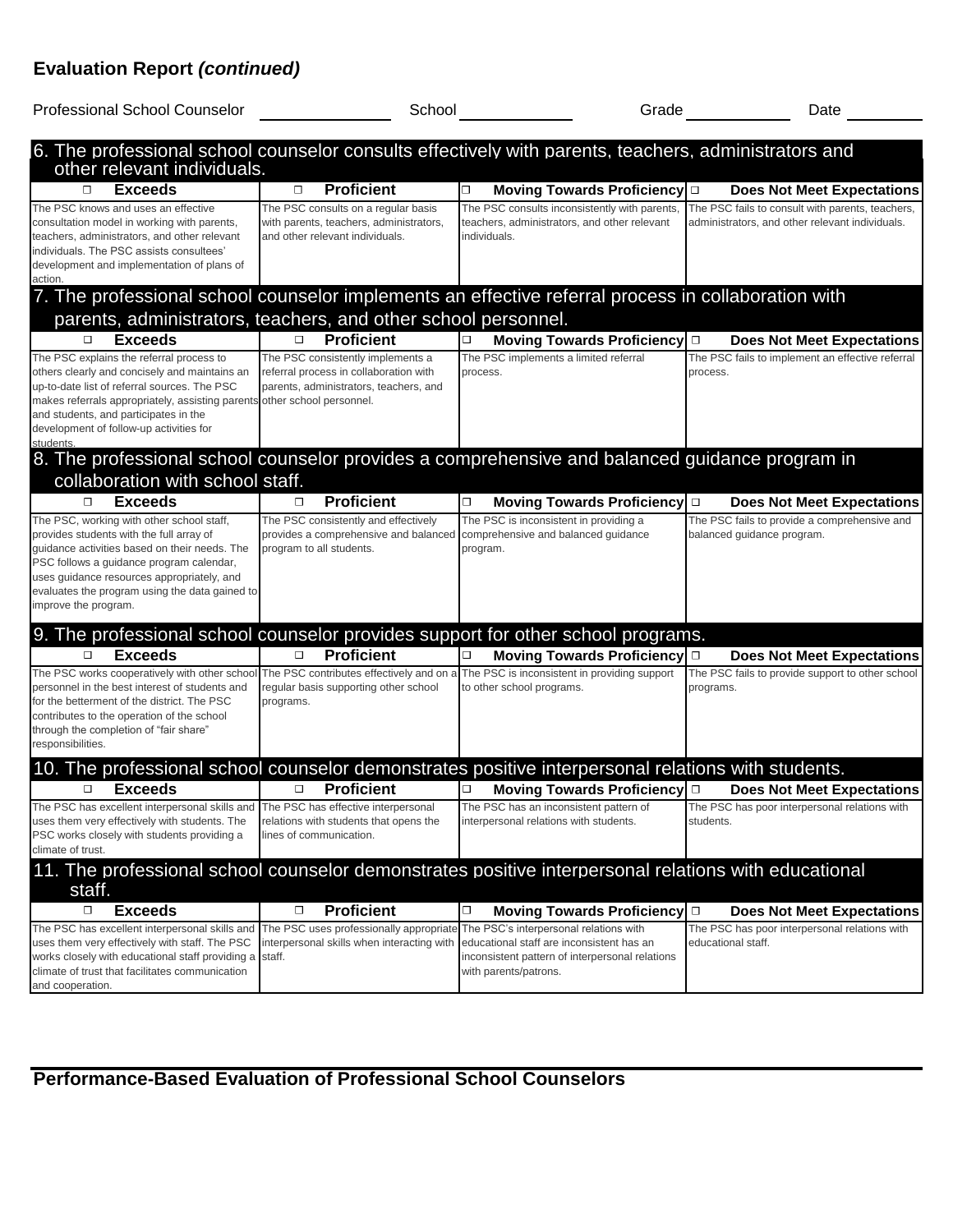# **Evaluation Report** *(continued)*

| <b>Professional School Counselor</b>                                                                                                                                                                                                                                                                       | School                                                                                                                                           |                                                                                                                    | Grade <u>__</u><br>Date                                                                             |
|------------------------------------------------------------------------------------------------------------------------------------------------------------------------------------------------------------------------------------------------------------------------------------------------------------|--------------------------------------------------------------------------------------------------------------------------------------------------|--------------------------------------------------------------------------------------------------------------------|-----------------------------------------------------------------------------------------------------|
| 6. The professional school counselor consults effectively with parents, teachers, administrators and<br>other relevant individuals.                                                                                                                                                                        |                                                                                                                                                  |                                                                                                                    |                                                                                                     |
| <b>Exceeds</b><br>□                                                                                                                                                                                                                                                                                        | <b>Proficient</b><br>$\Box$                                                                                                                      | О<br>Moving Towards Proficiency □                                                                                  | <b>Does Not Meet Expectations</b>                                                                   |
| The PSC knows and uses an effective<br>consultation model in working with parents,<br>teachers, administrators, and other relevant<br>individuals. The PSC assists consultees'<br>development and implementation of plans of<br>action.                                                                    | The PSC consults on a regular basis<br>with parents, teachers, administrators,<br>and other relevant individuals.                                | The PSC consults inconsistently with parents,<br>teachers, administrators, and other relevant<br>individuals.      | The PSC fails to consult with parents, teachers,<br>administrators, and other relevant individuals. |
| 7. The professional school counselor implements an effective referral process in collaboration with<br>parents, administrators, teachers, and other school personnel.                                                                                                                                      |                                                                                                                                                  |                                                                                                                    |                                                                                                     |
| <b>Exceeds</b><br>□                                                                                                                                                                                                                                                                                        | <b>Proficient</b><br>□                                                                                                                           | Moving Towards Proficiency $\square$<br>□                                                                          | <b>Does Not Meet Expectations</b>                                                                   |
| The PSC explains the referral process to<br>others clearly and concisely and maintains an<br>up-to-date list of referral sources. The PSC<br>makes referrals appropriately, assisting parents<br>and students, and participates in the<br>development of follow-up activities for<br>students              | The PSC consistently implements a<br>referral process in collaboration with<br>parents, administrators, teachers, and<br>other school personnel. | The PSC implements a limited referral<br>process.                                                                  | The PSC fails to implement an effective referral<br>process.                                        |
| 8. The professional school counselor provides a comprehensive and balanced guidance program in<br>collaboration with school staff.                                                                                                                                                                         |                                                                                                                                                  |                                                                                                                    |                                                                                                     |
| <b>Exceeds</b><br>□                                                                                                                                                                                                                                                                                        | <b>Proficient</b><br>□                                                                                                                           | $\Box$<br><b>Moving Towards Proficiency</b>                                                                        | $\Box$<br><b>Does Not Meet Expectations</b>                                                         |
| The PSC, working with other school staff,<br>provides students with the full array of<br>guidance activities based on their needs. The<br>PSC follows a guidance program calendar,<br>uses guidance resources appropriately, and<br>evaluates the program using the data gained to<br>improve the program. | The PSC consistently and effectively<br>provides a comprehensive and balanced comprehensive and balanced guidance<br>program to all students.    | The PSC is inconsistent in providing a<br>program.                                                                 | The PSC fails to provide a comprehensive and<br>balanced guidance program.                          |
| 9. The professional school counselor provides support for other school programs.                                                                                                                                                                                                                           |                                                                                                                                                  |                                                                                                                    |                                                                                                     |
| <b>Exceeds</b><br>$\Box$                                                                                                                                                                                                                                                                                   | <b>Proficient</b><br>□                                                                                                                           | Moving Towards Proficiency $\Box$<br>□                                                                             | <b>Does Not Meet Expectations</b>                                                                   |
| The PSC works cooperatively with other school<br>personnel in the best interest of students and<br>for the betterment of the district. The PSC<br>contributes to the operation of the school<br>through the completion of "fair share"<br>responsibilities.                                                | regular basis supporting other school<br>programs.                                                                                               | The PSC contributes effectively and on a The PSC is inconsistent in providing support<br>to other school programs. | The PSC fails to provide support to other school<br>programs.                                       |
| 10. The professional school counselor demonstrates positive interpersonal relations with students.                                                                                                                                                                                                         |                                                                                                                                                  |                                                                                                                    |                                                                                                     |
| <b>Exceeds</b><br>0                                                                                                                                                                                                                                                                                        | <b>Proficient</b><br>□                                                                                                                           | $\Box$<br>Moving Towards Proficiency $\Box$                                                                        | <b>Does Not Meet Expectations</b>                                                                   |
| The PSC has excellent interpersonal skills and<br>uses them very effectively with students. The<br>PSC works closely with students providing a<br>climate of trust.                                                                                                                                        | The PSC has effective interpersonal<br>relations with students that opens the<br>lines of communication.                                         | The PSC has an inconsistent pattern of<br>interpersonal relations with students.                                   | The PSC has poor interpersonal relations with<br>students.                                          |
| 11. The professional school counselor demonstrates positive interpersonal relations with educational<br>staff.                                                                                                                                                                                             |                                                                                                                                                  |                                                                                                                    |                                                                                                     |
| <b>Exceeds</b><br>◻                                                                                                                                                                                                                                                                                        | <b>Proficient</b><br>□                                                                                                                           | $\Box$<br>Moving Towards Proficiency $\square$                                                                     | <b>Does Not Meet Expectations</b>                                                                   |
| The PSC has excellent interpersonal skills and<br>uses them very effectively with staff. The PSC<br>works closely with educational staff providing a<br>climate of trust that facilitates communication<br>and cooperation.                                                                                | The PSC uses professionally appropriate<br>interpersonal skills when interacting with educational staff are inconsistent has an<br>staff.        | The PSC's interpersonal relations with<br>inconsistent pattern of interpersonal relations<br>with parents/patrons. | The PSC has poor interpersonal relations with<br>educational staff.                                 |

**Performance-Based Evaluation of Professional School Counselors**